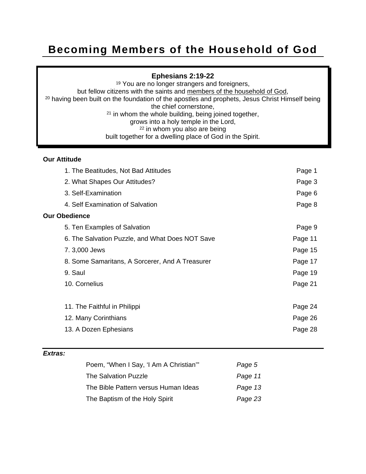# **Becoming Members of the Household of God**

#### **Ephesians 2:19-22**

<sup>19</sup> You are no longer strangers and foreigners,<br>but fellow citizens with the saints and members of the household of God, <sup>20</sup> having been built on the foundation of the apostles and prophets, Jesus Christ Himself being the chief cornerstone, <sup>21</sup> in whom the whole building, being joined together, grows into a holy temple in the Lord, 22 in whom you also are being built together for a dwelling place of God in the Spirit.

#### **Our Attitude**

| 1. The Beatitudes, Not Bad Attitudes            | Page 1  |
|-------------------------------------------------|---------|
| 2. What Shapes Our Attitudes?                   | Page 3  |
| 3. Self-Examination                             | Page 6  |
| 4. Self Examination of Salvation                | Page 8  |
| <b>Our Obedience</b>                            |         |
| 5. Ten Examples of Salvation                    | Page 9  |
| 6. The Salvation Puzzle, and What Does NOT Save | Page 11 |
| 7.3,000 Jews                                    | Page 15 |
| 8. Some Samaritans, A Sorcerer, And A Treasurer | Page 17 |
| 9. Saul                                         | Page 19 |
| 10. Cornelius                                   | Page 21 |
| 11. The Faithful in Philippi                    | Page 24 |
| 12. Many Corinthians                            | Page 26 |
| 13. A Dozen Ephesians                           | Page 28 |
|                                                 |         |

#### *Extras:*

| Poem, "When I Say, 'I Am A Christian" | Page 5  |
|---------------------------------------|---------|
| The Salvation Puzzle                  | Page 11 |
| The Bible Pattern versus Human Ideas  | Page 13 |
| The Baptism of the Holy Spirit        | Page 23 |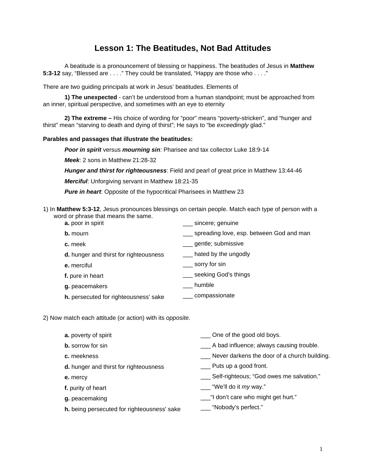# **Lesson 1: The Beatitudes, Not Bad Attitudes**

A beatitude is a pronouncement of blessing or happiness. The beatitudes of Jesus in **Matthew 5:3-12** say, "Blessed are . . . ." They could be translated, "Happy are those who . . . ."

There are two guiding principals at work in Jesus' beatitudes. Elements of

**1) The unexpected** - can't be understood from a human standpoint; must be approached from an inner, spiritual perspective, and sometimes with an eye to eternity

**2) The extreme –** His choice of wording for "poor" means "poverty-stricken", and "hunger and thirst" mean "starving to death and dying of thirst"; He says to "be *exceedingly* glad."

#### **Parables and passages that illustrate the beatitudes:**

*Poor in spirit* versus *mourning sin*: Pharisee and tax collector Luke 18:9-14

*Meek*: 2 sons in Matthew 21:28-32

*Hunger and thirst for righteousness*: Field and pearl of great price in Matthew 13:44-46

*Merciful*: Unforgiving servant in Matthew 18:21-35

*Pure in heart*: Opposite of the hypocritical Pharisees in Matthew 23

1) In **Matthew 5:3-12**, Jesus pronounces blessings on certain people. Match each type of person with a word or phrase that means the same. **a.** poor in spirit \_\_\_ sincere; genuine

| $d.$ POOL III SPIIII                   | SINGLE, GENTING                          |
|----------------------------------------|------------------------------------------|
| <b>b.</b> mourn                        | spreading love, esp. between God and man |
| c. meek                                | gentle; submissive                       |
| d. hunger and thirst for righteousness | hated by the ungodly                     |
| e. merciful                            | __ sorry for sin                         |
| f. pure in heart                       | seeking God's things                     |
| g. peacemakers                         | humble                                   |
|                                        |                                          |

- **h.** persecuted for righteousness' sake \_\_\_ compassionate
- 2) Now match each attitude (or action) with its *opposite*.

| a. poverty of spirit                        | One of the good old boys.                    |
|---------------------------------------------|----------------------------------------------|
| <b>b.</b> sorrow for sin                    | __ A bad influence; always causing trouble.  |
| c. meekness                                 | Never darkens the door of a church building. |
| d. hunger and thirst for righteousness      | Puts up a good front.                        |
| e. mercy                                    | Self-righteous; "God owes me salvation."     |
| f. purity of heart                          | ___ "We'll do it <i>my</i> way."             |
| g. peacemaking                              | _"I don't care who might get hurt."          |
| h. being persecuted for righteousness' sake | "Nobody's perfect."                          |
|                                             |                                              |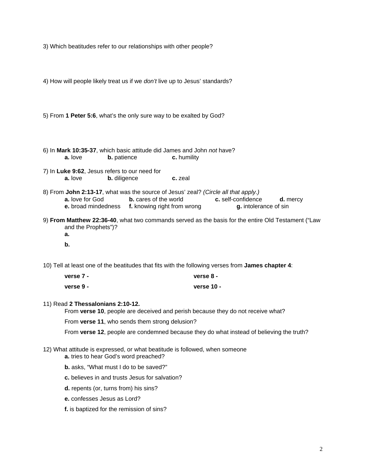3) Which beatitudes refer to our relationships with other people?

4) How will people likely treat us if we *don't* live up to Jesus' standards?

5) From **1 Peter 5:6**, what's the only sure way to be exalted by God?

6) In **Mark 10:35-37**, which basic attitude did James and John *not* have? **a.** love **b.** patience **c.** humility

- 7) In **Luke 9:62**, Jesus refers to our need for **a.** love **b.** diligence **c.** zeal
- 8) From **John 2:13-17**, what was the source of Jesus' zeal? *(Circle all that apply.)*  **a.** love for God **b.** cares of the world **c.** self-confidence **d.** mercy **e.** broad mindedness **f.** knowing right from wrong **g.** intolerance of sin
- 9) **From Matthew 22:36-40**, what two commands served as the basis for the entire Old Testament ("Law and the Prophets")? **a.** 
	- **b.**

10) Tell at least one of the beatitudes that fits with the following verses from **James chapter 4**:

| verse 7 -   | verse 8 -    |
|-------------|--------------|
| verse $9 -$ | verse $10 -$ |

#### 11) Read **2 Thessalonians 2:10-12.**

From **verse 10**, people are deceived and perish because they do not receive what?

From **verse 11**, who sends them strong delusion?

From **verse 12**, people are condemned because they do what instead of believing the truth?

- 12) What attitude is expressed, or what beatitude is followed, when someone
	- **a.** tries to hear God's word preached?
	- **b.** asks, "What must I do to be saved?"
	- **c.** believes in and trusts Jesus for salvation?
	- **d.** repents (or, turns from) his sins?
	- **e.** confesses Jesus as Lord?
	- **f.** is baptized for the remission of sins?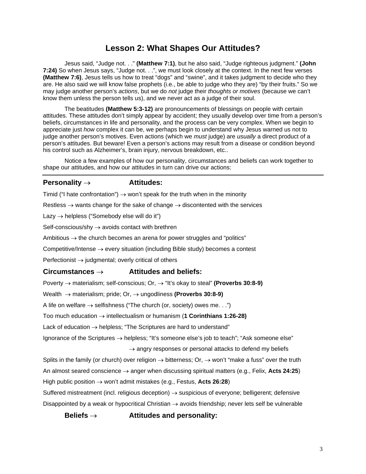### **Lesson 2: What Shapes Our Attitudes?**

Jesus said, "Judge not. . ." **(Matthew 7:1)**, but he also said, "Judge righteous judgment." **(John 7:24)** So when Jesus says, "Judge not. . .", we must look closely at the context. In the next few verses **(Matthew 7:6)**, Jesus tells us how to treat "dogs" and "swine", and it takes judgment to decide who they are. He also said we will know false prophets (i.e., be able to judge who they are) "by their fruits." So we may judge another person's *actions*, but we do *not* judge their *thoughts or motives* (because we can't know them unless the person tells us), and we never act as a judge of their soul.

 The beatitudes **(Matthew 5:3-12)** are pronouncements of blessings on people with certain attitudes. These attitudes don't simply appear by accident; they usually develop over time from a person's beliefs, circumstances in life and personality, and the process can be very complex. When we begin to appreciate just *how* complex it can be, we perhaps begin to understand why Jesus warned us not to judge another person's motives. Even actions (which we *must* judge) are *usually* a direct product of a person's attitudes. But beware! Even a person's actions may result from a disease or condition beyond his control such as Alzheimer's, brain injury, nervous breakdown, etc..

Notice a few examples of how our personality, circumstances and beliefs can work together to shape our attitudes, and how our attitudes in turn can drive our actions:

#### **Personality** → **Attitudes:**

Timid ("I hate confrontation")  $\rightarrow$  won't speak for the truth when in the minority

Restless  $\rightarrow$  wants change for the sake of change  $\rightarrow$  discontented with the services

Lazy  $\rightarrow$  helpless ("Somebody else will do it")

Self-conscious/shy  $\rightarrow$  avoids contact with brethren

Ambitious  $\rightarrow$  the church becomes an arena for power struggles and "politics"

Competitive/Intense  $\rightarrow$  every situation (including Bible study) becomes a contest

Perfectionist  $\rightarrow$  judgmental; overly critical of others

#### **Circumstances** → **Attitudes and beliefs:**

Poverty → materialism; self-conscious; Or, → "It's okay to steal" **(Proverbs 30:8-9)** 

Wealth → materialism; pride; Or, → ungodliness **(Proverbs 30:8-9)** 

A life on welfare  $\rightarrow$  selfishness ("The church (or, society) owes me. . .")

Too much education → intellectualism or humanism (**1 Corinthians 1:26-28)** 

Lack of education  $\rightarrow$  helpless; "The Scriptures are hard to understand"

Ignorance of the Scriptures  $\rightarrow$  helpless; "It's someone else's job to teach"; "Ask someone else"

 $\rightarrow$  angry responses or personal attacks to defend my beliefs

Splits in the family (or church) over religion  $\rightarrow$  bitterness; Or,  $\rightarrow$  won't "make a fuss" over the truth

An almost seared conscience → anger when discussing spiritual matters (e.g., Felix, **Acts 24:25**)

High public position → won't admit mistakes (e.g., Festus, **Acts 26:28**)

Suffered mistreatment (incl. religious deception)  $\rightarrow$  suspicious of everyone; belligerent; defensive Disappointed by a weak or hypocritical Christian  $\rightarrow$  avoids friendship; never lets self be vulnerable

 **Beliefs** → **Attitudes and personality:**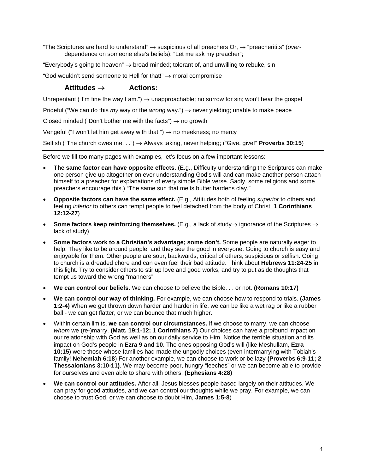"The Scriptures are hard to understand" → suspicious of all preachers Or, → "preacheritits" (*over*dependence on someone else's beliefs); "Let me ask my preacher";

"Everybody's going to heaven"  $\rightarrow$  broad minded; tolerant of, and unwilling to rebuke, sin

"God wouldn't send someone to Hell for that!" → moral compromise

#### **Attitudes** → **Actions:**

Unrepentant ("I'm fine the way I am.")  $\rightarrow$  unapproachable; no sorrow for sin; won't hear the gospel

Prideful ("We can do this *my* way or the *wrong* way.") → never yielding; unable to make peace

Closed minded ("Don't bother me with the facts")  $\rightarrow$  no growth

Vengeful ("I won't let him get away with that!")  $\rightarrow$  no meekness; no mercy

Selfish ("The church owes me. . .") → Always taking, never helping; ("Give, give!" **Proverbs 30:15**)

Before we fill too many pages with examples, let's focus on a few important lessons:

- **The same factor can have opposite effects.** (E.g., Difficulty understanding the Scriptures can make one person give up altogether on ever understanding God's will and can make another person attach himself to a preacher for explanations of every simple Bible verse. Sadly, some religions and some preachers encourage this.) "The same sun that melts butter hardens clay."
- **Opposite factors can have the same effect.** (E.g., Attitudes both of feeling *superior* to others and feeling *inferior* to others can tempt people to feel detached from the body of Christ, **1 Corinthians 12:12-27**)
- **Some factors keep reinforcing themselves.** (E.g., a lack of study→ ignorance of the Scriptures → lack of study)
- **Some factors work to a Christian's advantage; some don't.** Some people are naturally eager to help. They like to be around people, and they see the good in everyone. Going to church is easy and enjoyable for them. Other people are sour, backwards, critical of others, suspicious or selfish. Going to church is a dreaded chore and can even fuel their bad attitude. Think about **Hebrews 11:24-25** in this light. Try to consider others to stir up love and good works, and try to put aside thoughts that tempt us toward the wrong "manners".
- **We can control our beliefs.** We can choose to believe the Bible. . . or not. **(Romans 10:17)**
- **We can control our way of thinking.** For example, we can choose how to respond to trials. **(James 1:2-4)** When we get thrown down harder and harder in life, we can be like a wet rag or like a rubber ball - we can get flatter, or we can bounce that much higher.
- Within certain limits, **we can control our circumstances.** If we choose to marry, we can choose *whom* we (re-)marry. **(Matt. 19:1-12; 1 Corinthians 7)** Our choices can have a profound impact on our relationship with God as well as on our daily service to Him. Notice the terrible situation and its impact on God's people in **Ezra 9 and 10**. The ones opposing God's will (like Meshullam, **Ezra 10:15**) were those whose families had made the ungodly choices (even intermarrying with Tobiah's family! **Nehemiah 6:18**) For another example, we can choose to work or be lazy **(Proverbs 6:9-11; 2 Thessalonians 3:10-11)**. We may become poor, hungry "leeches" or we can become able to provide for ourselves and even able to share with others. **(Ephesians 4:28)**
- **We can control our attitudes.** After all, Jesus blesses people based largely on their attitudes. We can pray for good attitudes, and we can control our thoughts while we pray. For example, we can choose to trust God, or we can choose to doubt Him, **James 1:5-8**)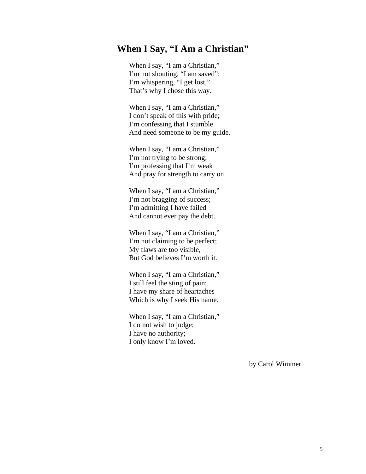# **When I Say, "I Am a Christian"**

When I say, "I am a Christian," I'm not shouting, "I am saved"; I'm whispering, "I get lost," That's why I chose this way.

When I say, "I am a Christian," I don't speak of this with pride; I'm confessing that I stumble And need someone to be my guide.

When I say, "I am a Christian," I'm not trying to be strong; I'm professing that I'm weak And pray for strength to carry on.

When I say, "I am a Christian," I'm not bragging of success; I'm admitting I have failed And cannot ever pay the debt.

When I say, "I am a Christian," I'm not claiming to be perfect; My flaws are too visible, But God believes I'm worth it.

When I say, "I am a Christian," I still feel the sting of pain; I have my share of heartaches Which is why I seek His name.

When I say, "I am a Christian," I do not wish to judge; I have no authority; I only know I'm loved.

by Carol Wimmer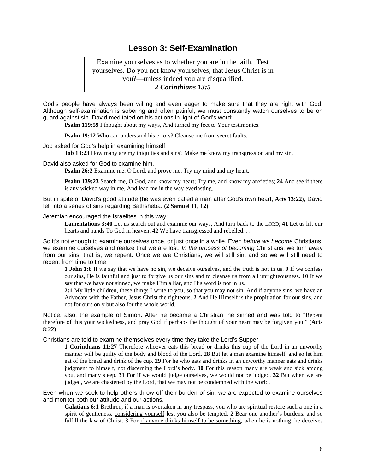### **Lesson 3: Self-Examination**

Examine yourselves as to whether you are in the faith. Test yourselves. Do you not know yourselves, that Jesus Christ is in you?—unless indeed you are disqualified. *2 Corinthians 13:5*

God's people have always been willing and even eager to make sure that they are right with God. Although self-examination is sobering and often painful, we must constantly watch ourselves to be on guard against sin. David meditated on his actions in light of God's word:

**Psalm 119:59** I thought about my ways, And turned my feet to Your testimonies.

**Psalm 19:12** Who can understand his errors? Cleanse me from secret faults.

Job asked for God's help in examining himself.

**Job 13:23** How many are my iniquities and sins? Make me know my transgression and my sin.

David also asked for God to examine him.

**Psalm 26:2** Examine me, O Lord, and prove me; Try my mind and my heart.

**Psalm 139:23** Search me, O God, and know my heart; Try me, and know my anxieties; **24** And see if there is any wicked way in me, And lead me in the way everlasting.

But in spite of David's good attitude (he was even called a man after God's own heart, **Acts 13:22**), David fell into a series of sins regarding Bathsheba. **(2 Samuel 11, 12)**

Jeremiah encouraged the Israelites in this way:

**Lamentations 3:40** Let us search out and examine our ways, And turn back to the LORD; **41** Let us lift our hearts and hands To God in heaven. **42** We have transgressed and rebelled. . .

So it's not enough to examine ourselves once, or just once in a while. Even *before we become* Christians, we examine ourselves and realize that we are lost. *In the process of becoming* Christians, we turn away from our sins, that is, we repent. Once we *are* Christians, we will still sin, and so we will still need to repent from time to time.

**1 John 1:8** If we say that we have no sin, we deceive ourselves, and the truth is not in us. **9** If we confess our sins, He is faithful and just to forgive us our sins and to cleanse us from all unrighteousness. **10** If we say that we have not sinned, we make Him a liar, and His word is not in us.

**2:1** My little children, these things I write to you, so that you may not sin. And if anyone sins, we have an Advocate with the Father, Jesus Christ the righteous. **2** And He Himself is the propitiation for our sins, and not for ours only but also for the whole world.

Notice, also, the example of Simon. After he became a Christian, he sinned and was told to "Repent therefore of this your wickedness, and pray God if perhaps the thought of your heart may be forgiven you." **(Acts 8:22)**

Christians are told to examine themselves every time they take the Lord's Supper.

**1 Corinthians 11:27** Therefore whoever eats this bread or drinks this cup of the Lord in an unworthy manner will be guilty of the body and blood of the Lord. **28** But let a man examine himself, and so let him eat of the bread and drink of the cup. **29** For he who eats and drinks in an unworthy manner eats and drinks judgment to himself, not discerning the Lord's body. **30** For this reason many are weak and sick among you, and many sleep. **31** For if we would judge ourselves, we would not be judged. **32** But when we are judged, we are chastened by the Lord, that we may not be condemned with the world.

Even when we seek to help others throw off their burden of sin, we are expected to examine ourselves and monitor both our attitude and our actions.

**Galatians 6:1** Brethren, if a man is overtaken in any trespass, you who are spiritual restore such a one in a spirit of gentleness, considering yourself lest you also be tempted. 2 Bear one another's burdens, and so fulfill the law of Christ. 3 For if anyone thinks himself to be something, when he is nothing, he deceives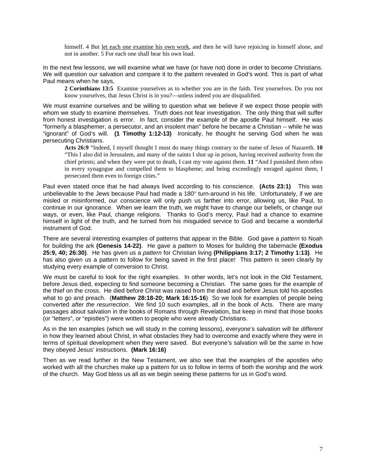himself. 4 But let each one examine his own work, and then he will have rejoicing in himself alone, and not in another. 5 For each one shall bear his own load.

In the next few lessons, we will examine what we have (or have not) done in order to become Christians. We will question our salvation and compare it to the pattern revealed in God's word. This is part of what Paul means when he says,

**2 Corinthians 13:5** Examine yourselves as to whether you are in the faith. Test yourselves. Do you not know yourselves, that Jesus Christ is in you?—unless indeed you are disqualified.

We must examine ourselves and be willing to question what we believe if we expect those people with whom we study to examine *them*selves. Truth does not fear investigation. The only thing that will suffer from honest investigation is error. In fact, consider the example of the apostle Paul himself. He was "formerly a blasphemer, a persecutor, and an insolent man" before he became a Christian -- while he was "ignorant" of God's will. **(1 Timothy 1:12-13)** Ironically, he thought he serving God when he was persecuting Christians.

**Acts 26:9** "Indeed, I myself thought I must do many things contrary to the name of Jesus of Nazareth. **10**  "This I also did in Jerusalem, and many of the saints I shut up in prison, having received authority from the chief priests; and when they were put to death, I cast my vote against them. **11** "And I punished them often in every synagogue and compelled them to blaspheme; and being exceedingly enraged against them, I persecuted them even to foreign cities."

Paul even stated once that he had always lived according to his conscience. **(Acts 23:1)** This was unbelievable to the Jews because Paul had made a 180° turn-around in his life. Unfortunately, if we are misled or misinformed, our conscience will only push us farther into error, allowing us, like Paul, to continue in our ignorance. When we learn the truth, we might have to change our beliefs, or change our ways, or even, like Paul, change religions. Thanks to God's mercy, Paul had a chance to examine himself in light of the truth, and he turned from his misguided service to God and became a wonderful instrument of God.

There are several interesting examples of patterns that appear in the Bible. God gave a *pattern* to Noah for building the ark **(Genesis 14-22)**. He gave a *pattern* to Moses for building the tabernacle **(Exodus 25:9, 40; 26:30)**. He has given us a *pattern* for Christian living **(Philippians 3:17; 2 Timothy 1:13)**. He has also given us a pattern to follow for being saved in the first place! This pattern is seen clearly by studying every example of conversion to Christ.

We must be careful to look for the right examples. In other words, let's not look in the Old Testament, before Jesus died, expecting to find someone becoming a Christian. The same goes for the example of the thief on the cross. He died before Christ was raised from the dead and before Jesus told his apostles what to go and preach. (**Matthew 28:18-20; Mark 16:15-16**) So we look for examples of people being converted *after the resurrection*. We find 10 such examples, all in the book of Acts. There are many passages about salvation in the books of Romans through Revelation, but keep in mind that those books (or "letters", or "epistles") were written to people who were already Christians.

As in the ten examples (which we will study in the coming lessons), everyone's salvation will be *different* in how they learned about Christ, in what obstacles they had to overcome and exactly where they were in terms of spiritual development when they were saved. But everyone's salvation will be the *same* in how they obeyed Jesus' instructions. **(Mark 16:16)** 

Then as we read further in the New Testament, we also see that the examples of the apostles who worked with all the churches make up a pattern for us to follow in terms of both the worship and the work of the church. May God bless us all as we begin seeing these patterns for us in God's word.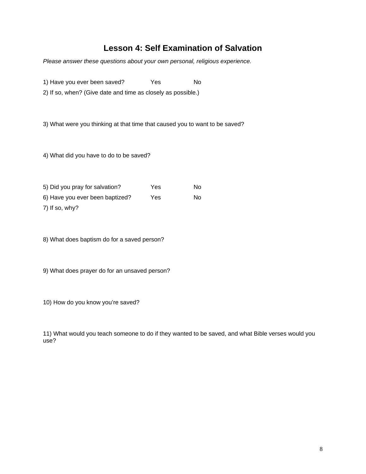# **Lesson 4: Self Examination of Salvation**

*Please answer these questions about your own personal, religious experience.* 

1) Have you ever been saved? Yes No

2) If so, when? (Give date and time as closely as possible.)

3) What were you thinking at that time that caused you to want to be saved?

4) What did you have to do to be saved?

| 5) Did you pray for salvation?  | Yes | N٥  |
|---------------------------------|-----|-----|
| 6) Have you ever been baptized? | Yes | No. |

7) If so, why?

8) What does baptism do for a saved person?

9) What does prayer do for an unsaved person?

10) How do you know you're saved?

11) What would you teach someone to do if they wanted to be saved, and what Bible verses would you use?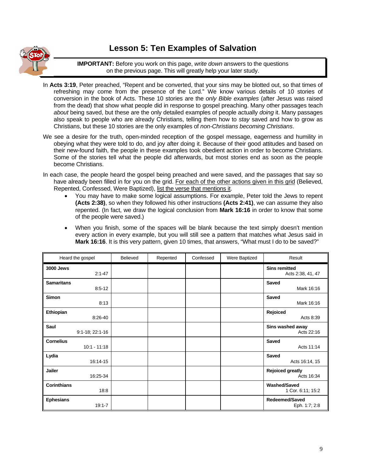

# **Lesson 5: Ten Examples of Salvation**

**IMPORTANT:** Before you work on this page, *write down* answers to the questions on the previous page. This will greatly help your later study.

- In **Acts 3:19**, Peter preached, "Repent and be converted, that your sins may be blotted out, so that times of refreshing may come from the presence of the Lord." We know various details of 10 stories of conversion in the book of Acts. These 10 stories are the *only Bible examples* (after Jesus was raised from the dead) that show what people did in response to gospel preaching. Many other passages teach *about* being saved, but these are the only detailed examples of people actually *doing* it. Many passages also speak to people who are already Christians, telling them how to *stay* saved and how to grow as Christians, but these 10 stories are the only examples of *non-Christians becoming Christians*.
- We see a desire for the truth, open-minded reception of the gospel message, eagerness and humility in obeying what they were told to do, and joy after doing it. Because of their good attitudes and based on their new-found faith, the people in these examples took obedient action in order to become Christians. Some of the stories tell what the people did afterwards, but most stories end as soon as the people become Christians.
- In each case, the people heard the gospel being preached and were saved, and the passages that say so have already been filled in for you on the grid. For each of the other actions given in this grid (Believed, Repented, Confessed, Were Baptized), list the verse that mentions it.
	- You may have to make some logical assumptions. For example, Peter told the Jews to repent **(Acts 2:38)**, so when they followed his other instructions **(Acts 2:41)**, we can assume they also repented. (In fact, we draw the logical conclusion from **Mark 16:16** in order to know that some of the people were saved.)
	- When you finish, some of the spaces will be blank because the text simply doesn't mention every action in every example, but you will still see a pattern that matches what Jesus said in Mark 16:16. It is this very pattern, given 10 times, that answers, "What must I do to be saved?"

| Heard the gospel                   | <b>Believed</b> | Repented | Confessed | Were Baptized | Result                                    |
|------------------------------------|-----------------|----------|-----------|---------------|-------------------------------------------|
| <b>3000 Jews</b><br>$2:1 - 47$     |                 |          |           |               | <b>Sins remitted</b><br>Acts 2:38, 41, 47 |
| <b>Samaritans</b><br>$8:5-12$      |                 |          |           |               | Saved<br>Mark 16:16                       |
| Simon<br>8:13                      |                 |          |           |               | Saved<br>Mark 16:16                       |
| Ethiopian<br>8:26-40               |                 |          |           |               | Rejoiced<br>Acts 8:39                     |
| Saul<br>$9:1-18$ ; 22:1-16         |                 |          |           |               | Sins washed away<br>Acts 22:16            |
| <b>Cornelius</b><br>$10:1 - 11:18$ |                 |          |           |               | <b>Saved</b><br>Acts 11:14                |
| Lydia<br>16:14-15                  |                 |          |           |               | Saved<br>Acts 16:14, 15                   |
| <b>Jailer</b><br>16:25-34          |                 |          |           |               | <b>Rejoiced greatly</b><br>Acts 16:34     |
| <b>Corinthians</b><br>18:8         |                 |          |           |               | <b>Washed/Saved</b><br>1 Cor. 6:11; 15:2  |
| <b>Ephesians</b><br>$19:1 - 7$     |                 |          |           |               | Redeemed/Saved<br>Eph. 1:7; 2:8           |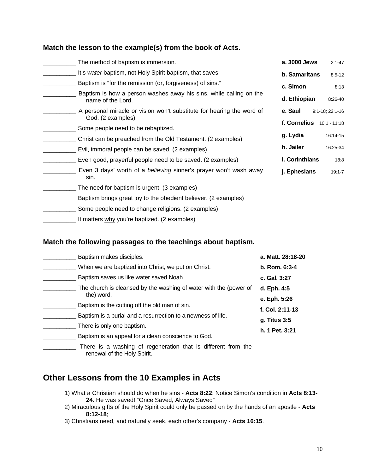#### **Match the lesson to the example(s) from the book of Acts.**

| The method of baptism is immersion.                                                     | a. 3000 Jews         | $2:1 - 47$      |
|-----------------------------------------------------------------------------------------|----------------------|-----------------|
| It's water baptism, not Holy Spirit baptism, that saves.                                | <b>b.</b> Samaritans | $8:5 - 12$      |
| Baptism is "for the remission (or, forgiveness) of sins."                               | c. Simon             | 8:13            |
| Baptism is how a person washes away his sins, while calling on the<br>name of the Lord. | d. Ethiopian         | 8:26-40         |
| A personal miracle or vision won't substitute for hearing the word of                   | e. Saul              | 9:1-18; 22:1-16 |
| God. (2 examples)                                                                       | f. Cornelius         | $10:1 - 11:18$  |
| Some people need to be rebaptized.                                                      |                      |                 |
| Christ can be preached from the Old Testament. (2 examples)                             | g. Lydia             | 16:14-15        |
| Evil, immoral people can be saved. (2 examples)                                         | h. Jailer            | 16:25-34        |
| Even good, prayerful people need to be saved. (2 examples)                              | I. Corinthians       | 18:8            |
| Even 3 days' worth of a believing sinner's prayer won't wash away<br>sin.               | j. Ephesians         | $19:1 - 7$      |
| The need for baptism is urgent. (3 examples)                                            |                      |                 |
| Baptism brings great joy to the obedient believer. (2 examples)                         |                      |                 |
| Some people need to change religions. (2 examples)                                      |                      |                 |
|                                                                                         |                      |                 |

L It matters why you're baptized. (2 examples)

#### **Match the following passages to the teachings about baptism.**

| Baptism makes disciples.                                                        | a. Matt. 28:18-20 |
|---------------------------------------------------------------------------------|-------------------|
| When we are baptized into Christ, we put on Christ.                             | $b.$ Rom. $6:3-4$ |
| Baptism saves us like water saved Noah.                                         | c. Gal. 3:27      |
| The church is cleansed by the washing of water with the (power of<br>the) word. | d. Eph. 4:5       |
|                                                                                 | e. Eph. 5:26      |
| Baptism is the cutting off the old man of sin.                                  | f. Col. 2:11-13   |
| Baptism is a burial and a resurrection to a newness of life.                    | g. Titus 3:5      |
| There is only one baptism.                                                      | h. 1 Pet. 3:21    |
| Baptism is an appeal for a clean conscience to God.                             |                   |
| There is a washing of regeneration that is different from the                   |                   |

renewal of the Holy Spirit.

# **Other Lessons from the 10 Examples in Acts**

- 1) What a Christian should do when he sins **Acts 8:22**; Notice Simon's condition in **Acts 8:13- 24**. He was saved! "Once Saved, Always Saved"
- 2) Miraculous gifts of the Holy Spirit could only be passed on by the hands of an apostle **Acts 8:12-18**;
- 3) Christians need, and naturally seek, each other's company **Acts 16:15**.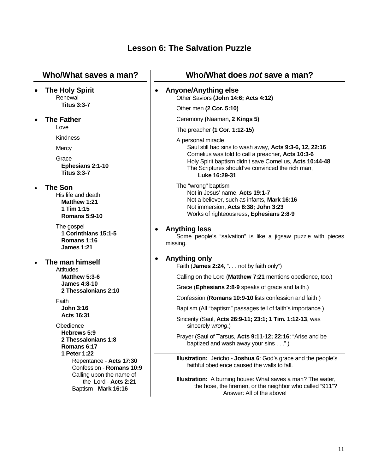# **Lesson 6: The Salvation Puzzle**

| Who/What saves a man?                                                                        | Who/What does not save a man?                                                                                                                                                                                                                                        |
|----------------------------------------------------------------------------------------------|----------------------------------------------------------------------------------------------------------------------------------------------------------------------------------------------------------------------------------------------------------------------|
| <b>The Holy Spirit</b><br>$\bullet$<br>Renewal                                               | <b>Anyone/Anything else</b><br>$\bullet$<br>Other Saviors (John 14:6; Acts 4:12)                                                                                                                                                                                     |
| <b>Titus 3:3-7</b>                                                                           | Other men (2 Cor. 5:10)                                                                                                                                                                                                                                              |
| <b>The Father</b><br>$\bullet$                                                               | Ceremony (Naaman, 2 Kings 5)                                                                                                                                                                                                                                         |
| Love                                                                                         | The preacher (1 Cor. 1:12-15)                                                                                                                                                                                                                                        |
| Kindness<br>Mercy<br>Grace<br>Ephesians 2:1-10<br><b>Titus 3:3-7</b>                         | A personal miracle<br>Saul still had sins to wash away, Acts 9:3-6, 12, 22:16<br>Cornelius was told to call a preacher, Acts 10:3-6<br>Holy Spirit baptism didn't save Cornelius, Acts 10:44-48<br>The Scriptures should've convinced the rich man,<br>Luke 16:29-31 |
| <b>The Son</b><br>His life and death<br>Matthew 1:21<br>1 Tim 1:15<br><b>Romans 5:9-10</b>   | The "wrong" baptism<br>Not in Jesus' name, Acts 19:1-7<br>Not a believer, such as infants, Mark 16:16<br>Not immersion, Acts 8:38; John 3:23<br>Works of righteousness, Ephesians 2:8-9                                                                              |
| The gospel<br>1 Corinthians 15:1-5<br>Romans 1:16<br><b>James 1:21</b>                       | <b>Anything less</b><br>Some people's "salvation" is like a jigsaw puzzle with pieces<br>missing.                                                                                                                                                                    |
| The man himself<br>Attitudes<br>Matthew 5:3-6<br><b>James 4:8-10</b><br>2 Thessalonians 2:10 | Anything only<br>٠<br>Faith (James 2:24, ". not by faith only")<br>Calling on the Lord (Matthew 7:21 mentions obedience, too.)<br>Grace (Ephesians 2:8-9 speaks of grace and faith.)                                                                                 |
| Faith                                                                                        | Confession (Romans 10:9-10 lists confession and faith.)                                                                                                                                                                                                              |
| <b>John 3:16</b>                                                                             | Baptism (All "baptism" passages tell of faith's importance.)                                                                                                                                                                                                         |
| Acts 16:31<br>Obedience                                                                      | Sincerity (Saul, Acts 26:9-11; 23:1; 1 Tim. 1:12-13, was<br>sincerely wrong.)                                                                                                                                                                                        |
| Hebrews 5:9<br>2 Thessalonians 1:8<br>Romans 6:17                                            | Prayer (Saul of Tarsus, Acts 9:11-12; 22:16: "Arise and be<br>baptized and wash away your sins")                                                                                                                                                                     |
| 1 Peter 1:22<br>Repentance - Acts 17:30<br>Confession - Romans 10:9                          | Illustration: Jericho - Joshua 6: God's grace and the people's<br>faithful obedience caused the walls to fall.                                                                                                                                                       |
| Calling upon the name of<br>the Lord - Acts 2:21<br>Baptism - Mark 16:16                     | <b>Illustration:</b> A burning house: What saves a man? The water,<br>the hose, the firemen, or the neighbor who called "911"?<br>Answer: All of the above!                                                                                                          |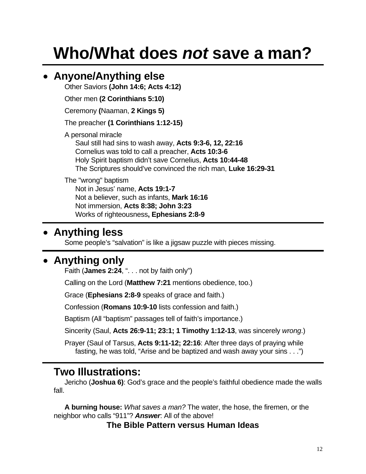# **Who/What does** *not* **save a man?**

# • **Anyone/Anything else**

Other Saviors **(John 14:6; Acts 4:12)** 

Other men **(2 Corinthians 5:10)** 

Ceremony **(**Naaman, **2 Kings 5)** 

The preacher **(1 Corinthians 1:12-15)** 

A personal miracle

Saul still had sins to wash away, **Acts 9:3-6, 12, 22:16** Cornelius was told to call a preacher, **Acts 10:3-6** Holy Spirit baptism didn't save Cornelius, **Acts 10:44-48**  The Scriptures should've convinced the rich man, **Luke 16:29-31**

### The "wrong" baptism

Not in Jesus' name, **Acts 19:1-7**  Not a believer, such as infants, **Mark 16:16** Not immersion, **Acts 8:38; John 3:23**  Works of righteousness**, Ephesians 2:8-9** 

# • **Anything less**

Some people's "salvation" is like a jigsaw puzzle with pieces missing.

# • **Anything only**

Faith (**James 2:24**, ". . . not by faith only")

Calling on the Lord (**Matthew 7:21** mentions obedience, too.)

Grace (**Ephesians 2:8-9** speaks of grace and faith.)

Confession (**Romans 10:9-10** lists confession and faith.)

Baptism (All "baptism" passages tell of faith's importance.)

Sincerity (Saul, **Acts 26:9-11; 23:1; 1 Timothy 1:12-13**, was sincerely *wrong*.)

Prayer (Saul of Tarsus, **Acts 9:11-12; 22:16**: After three days of praying while fasting, he was told, "Arise and be baptized and wash away your sins . . .")

# **Two Illustrations:**

 Jericho (**Joshua 6)**: God's grace and the people's faithful obedience made the walls fall.

 **A burning house:** *What saves a man?* The water, the hose, the firemen, or the neighbor who calls "911"? *Answer*: All of the above!

**The Bible Pattern versus Human Ideas**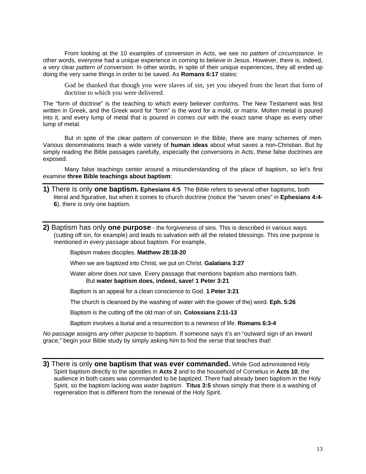From looking at the 10 examples of conversion in Acts, we see *no pattern of circumstance*. In other words, everyone had a unique experience in coming to believe in Jesus. However, there is, indeed, a very clear *pattern of conversion*. In other words, in spite of their unique experiences, they all ended up doing the very same things in order to be saved. As **Romans 6:17** states:

God be thanked that though you were slaves of sin, yet you obeyed from the heart that form of doctrine to which you were delivered.

The "form of doctrine" is the teaching to which every believer conforms. The New Testament was first written in Greek, and the Greek word for "form" is the word for a mold, or matrix. Molten metal is poured into it, and every lump of metal that is poured *in* comes *out* with the exact same shape as every other lump of metal.

But in spite of the clear pattern of conversion in the Bible, there are many schemes of men. Various denominations teach a wide variety of **human ideas** about what saves a non-Christian. But by simply reading the Bible passages carefully, especially the conversions in Acts, these false doctrines are exposed.

Many false teachings center around a misunderstanding of the place of baptism, so let's first examine **three Bible teachings about baptism**:

- **1)** There is only **one baptism. Ephesians 4:5** The Bible refers to several other baptisms, both literal and figurative, but when it comes to church doctrine (notice the "seven ones" in **Ephesians 4:4- 6**), there is only one baptism.
- **2)** Baptism has only **one purpose** the forgiveness of sins. This is described in various ways (cutting off sin, for example) and leads to salvation with all the related blessings. This one purpose is mentioned in *every passage* about baptism. For example,

Baptism makes disciples. **Matthew 28:18-20** 

When we are baptized into Christ, we put on Christ. **Galatians 3:27**

Water *alone* does *not* save. Every passage that mentions baptism also mentions faith. But **water baptism does, indeed, save! 1 Peter 3:21** 

Baptism is an appeal for a clean conscience to God. **1 Peter 3:21** 

The church is cleansed by the washing of water with the (power of the) word. **Eph. 5:26**

Baptism is the cutting off the old man of sin. **Colossians 2:11-13** 

Baptism involves a burial and a resurrection to a newness of life. **Romans 6:3-4** 

*No passage* assigns *any other purpose* to baptism. If someone says it's an "outward sign of an inward grace," begin your Bible study by simply asking him to find the verse that teaches that!

**3)** There is only **one baptism that was ever commanded.** While God administered Holy Spirit baptism directly to the apostles in **Acts 2** and to the household of Cornelius in **Acts 10**, the audience in both cases was commanded to be baptized. There had already been baptism in the Holy Spirit, so the baptism lacking was *water baptism*. **Titus 3:5** shows simply that there is a washing of regeneration that is different from the renewal of the Holy Spirit.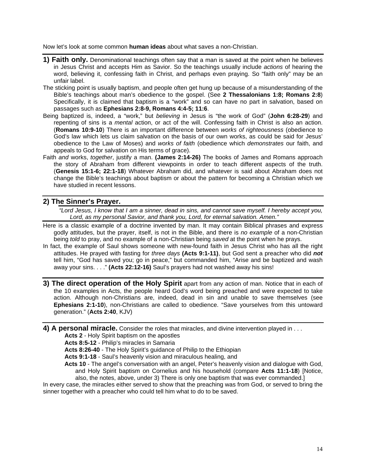Now let's look at some common **human ideas** about what saves a non-Christian.

- **1) Faith only.** Denominational teachings often say that a man is saved at the point when he believes in Jesus Christ and accepts Him as Savior. So the teachings usually include *actions* of hearing the word, believing it, confessing faith in Christ, and perhaps even praying. So "faith only" may be an unfair label.
- The sticking point is usually baptism, and people often get hung up because of a misunderstanding of the Bible's teachings about man's obedience to the gospel. (See **2 Thessalonians 1:8; Romans 2:8**) Specifically, it is claimed that baptism is a "work" and so can have no part in salvation, based on passages such as **Ephesians 2:8-9, Romans 4:4-5; 11:6**.
- Being baptized is, indeed, a "work," but *believing* in Jesus is "the work of God" (**John 6:28-29**) and repenting of sins is a *mental* action, or act of the will. Confessing faith in Christ is also an action. (**Romans 10:9-10**) There is an important difference between *works of righteousness* (obedience to God's law which lets us claim salvation on the basis of our own works, as could be said for Jesus' obedience to the Law of Moses) and *works of faith* (obedience which *demonstrates* our faith, and appeals to God for salvation on His terms of grace).
- Faith *and* works, *together*, justify a man. **(James 2:14-26)** The books of James and Romans approach the story of Abraham from different viewpoints in order to teach different aspects of the truth. (**Genesis 15:1-6; 22:1-18**) Whatever Abraham did, and whatever is said about Abraham does not change the Bible's teachings about baptism or about the pattern for becoming a Christian which we have studied in recent lessons.

#### **2) The Sinner's Prayer.**

*"Lord Jesus, I know that I am a sinner, dead in sins, and cannot save myself. I hereby accept you, Lord, as my personal Savior, and thank you, Lord, for eternal salvation. Amen."* 

- Here is a classic example of a doctrine invented by man. It may contain Biblical phrases and express godly attitudes, but the prayer, itself, is not in the Bible, and there is *no example* of a non-Christian being *told* to pray, and no example of a non-Christian being *saved* at the point when he prays.
- In fact, the example of Saul shows someone with new-found faith in Jesus Christ who has all the right attitudes. He prayed with fasting for *three days* **(Acts 9:1-11)**, but God sent a preacher who did *not* tell him, "God has saved you; go in peace," but commanded him, "Arise and be baptized and wash away your sins. . . ." **(Acts 22:12-16)** Saul's prayers had not washed away his sins!
- **3) The direct operation of the Holy Spirit** apart from any action of man. Notice that in each of the 10 examples in Acts, the people heard God's word being preached and were expected to take action. Although non-Christians are, indeed, dead in sin and unable to save themselves (see **Ephesians 2:1-10**), non-Christians are called to obedience. "Save yourselves from this untoward generation." (**Acts 2:40**, KJV)
- **4) A personal miracle.** Consider the roles that miracles, and divine intervention played in . . .

**Acts 2** - Holy Spirit baptism on the apostles

**Acts 8:5-12** - Philip's miracles in Samaria

**Acts 8:26-40** - The Holy Spirit's guidance of Philip to the Ethiopian

**Acts 9:1-18** - Saul's heavenly vision and miraculous healing, and

**Acts 10** - The angel's conversation with an angel, Peter's heavenly vision and dialogue with God, and Holy Spirit baptism on Cornelius and his household (compare **Acts 11:1-18**) [Notice, also, the notes, above, under 3) There is only one baptism that was ever commanded.]

In every case, the miracles either served to show that the preaching was from God, or served to bring the sinner together with a preacher who could tell him what to do to be saved.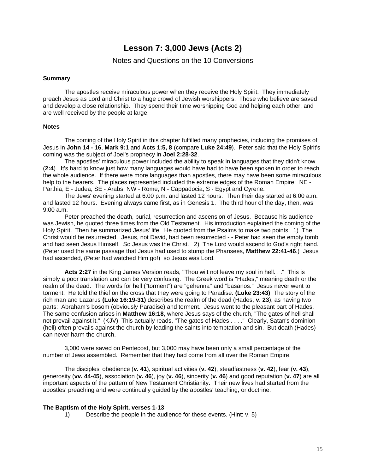### **Lesson 7: 3,000 Jews (Acts 2)**

#### Notes and Questions on the 10 Conversions

#### **Summary**

The apostles receive miraculous power when they receive the Holy Spirit. They immediately preach Jesus as Lord and Christ to a huge crowd of Jewish worshippers. Those who believe are saved and develop a close relationship. They spend their time worshipping God and helping each other, and are well received by the people at large.

#### **Notes**

The coming of the Holy Spirit in this chapter fulfilled many prophecies, including the promises of Jesus in **John 14 - 16**, **Mark 9:1** and **Acts 1:5, 8** (compare **Luke 24:49**). Peter said that the Holy Spirit's coming was the subject of Joel's prophecy in **Joel 2:28-32**.

The apostles' miraculous power included the ability to speak in languages that they didn't know (**2:4**). It's hard to know just how many languages would have had to have been spoken in order to reach the whole audience. If there were more languages than apostles, there may have been some miraculous help to the hearers. The places represented included the extreme edges of the Roman Empire: NE - Parthia; E - Judea; SE - Arabs; NW - Rome; N - Cappadocia; S - Egypt and Cyrene.

The Jews' evening started at 6:00 p.m. and lasted 12 hours. Then their day started at 6:00 a.m. and lasted 12 hours. Evening always came first, as in Genesis 1. The third hour of the day, then, was 9:00 a.m.

Peter preached the death, burial, resurrection and ascension of Jesus. Because his audience was Jewish, he quoted three times from the Old Testament. His introduction explained the coming of the Holy Spirit. Then he summarized Jesus' life. He quoted from the Psalms to make two points: 1) The Christ would be resurrected. Jesus, not David, had been resurrected - - Peter had seen the empty tomb and had seen Jesus Himself. So Jesus was the Christ. 2) The Lord would ascend to God's right hand. (Peter used the same passage that Jesus had used to stump the Pharisees, **Matthew 22:41-46**.) Jesus had ascended, (Peter had watched Him go!) so Jesus was Lord.

**Acts 2:27** in the King James Version reads, "Thou wilt not leave my soul in hell. . ." This is simply a poor translation and can be very confusing. The Greek word is "Hades," meaning death or the realm of the dead. The words for hell ("torment") are "gehenna" and "basanos." Jesus never went to torment. He told the thief on the cross that they were going to Paradise. **(Luke 23:43)** The story of the rich man and Lazarus **(Luke 16:19-31)** describes the realm of the dead (Hades, **v. 23**), as having two parts: Abraham's bosom (obviously Paradise) and torment. Jesus went to the pleasant part of Hades. The same confusion arises in **Matthew 16:18**, where Jesus says of the church, "The gates of hell shall not prevail against it." (KJV) This actually reads, "The gates of Hades . . . ." Clearly, Satan's dominion (hell) often prevails against the church by leading the saints into temptation and sin. But death (Hades) can never harm the church.

3,000 were saved on Pentecost, but 3,000 may have been only a small percentage of the number of Jews assembled. Remember that they had come from all over the Roman Empire.

The disciples' obedience (**v. 41**), spiritual activities (**v. 42**), steadfastness (**v. 42**), fear (**v. 43**), generosity (**vv. 44-45**), association (**v. 46**), joy (**v. 46**), sincerity (**v. 46**) and good reputation (**v. 47**) are all important aspects of the pattern of New Testament Christianity. Their new lives had started from the apostles' preaching and were continually guided by the apostles' teaching, or doctrine.

#### **The Baptism of the Holy Spirit, verses 1-13**

1) Describe the people in the audience for these events. (Hint: v. 5)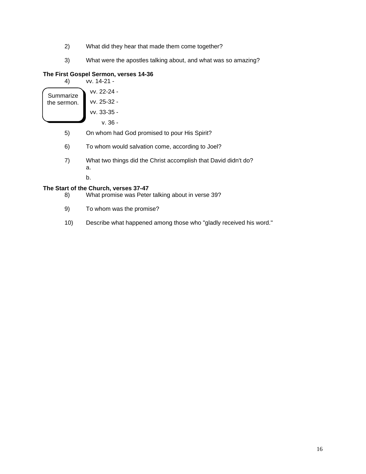- 2) What did they hear that made them come together?
- 3) What were the apostles talking about, and what was so amazing?

#### **The First Gospel Sermon, verses 14-36**  $4-21 -$

| 4)        | vv. 1 |
|-----------|-------|
| Summarize | VV.   |

| Summarize   | vv. 22-24 -   |
|-------------|---------------|
| the sermon. | vv. 25-32 -   |
|             | $vv. 33-35 -$ |

v. 36 -

- 5) On whom had God promised to pour His Spirit?
- 6) To whom would salvation come, according to Joel?
- 7) What two things did the Christ accomplish that David didn't do? a.

b.

#### **The Start of the Church, verses 37-47**

- 8) What promise was Peter talking about in verse 39?
- 9) To whom was the promise?
- 10) Describe what happened among those who "gladly received his word."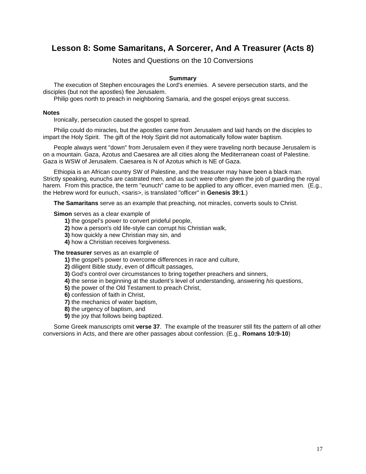## **Lesson 8: Some Samaritans, A Sorcerer, And A Treasurer (Acts 8)**

Notes and Questions on the 10 Conversions

#### **Summary**

The execution of Stephen encourages the Lord's enemies. A severe persecution starts, and the disciples (but not the apostles) flee Jerusalem.

Philip goes north to preach in neighboring Samaria, and the gospel enjoys great success.

#### **Notes**

Ironically, persecution caused the gospel to spread.

Philip could do miracles, but the apostles came from Jerusalem and laid hands on the disciples to impart the Holy Spirit. The gift of the Holy Spirit did not automatically follow water baptism.

People always went "down" from Jerusalem even if they were traveling north because Jerusalem is on a mountain. Gaza, Azotus and Caesarea are all cities along the Mediterranean coast of Palestine. Gaza is WSW of Jerusalem. Caesarea is N of Azotus which is NE of Gaza.

Ethiopia is an African country SW of Palestine, and the treasurer may have been a black man. Strictly speaking, eunuchs are castrated men, and as such were often given the job of guarding the royal harem. From this practice, the term "eunuch" came to be applied to any officer, even married men. (E.g., the Hebrew word for eunuch, <saris>, is translated "officer" in **Genesis 39:1**.)

 **The Samaritans** serve as an example that preaching, not miracles, converts souls to Christ.

**Simon** serves as a clear example of

- **1)** the gospel's power to convert prideful people,
- **2)** how a person's old life-style can corrupt his Christian walk,
- **3)** how quickly a new Christian may sin, and
- **4)** how a Christian receives forgiveness.

#### **The treasurer** serves as an example of

 **1)** the gospel's power to overcome differences in race and culture,

- **2)** diligent Bible study, even of difficult passages,
- **3)** God's control over circumstances to bring together preachers and sinners,
- **4)** the sense in beginning at the student's level of understanding, answering *his* questions,
- **5)** the power of the Old Testament to preach Christ,
- **6)** confession of faith in Christ,
- **7)** the mechanics of water baptism,
- **8)** the urgency of baptism, and
- **9)** the joy that follows being baptized.

Some Greek manuscripts omit **verse 37**. The example of the treasurer still fits the pattern of all other conversions in Acts, and there are other passages about confession. (E.g., **Romans 10:9-10**)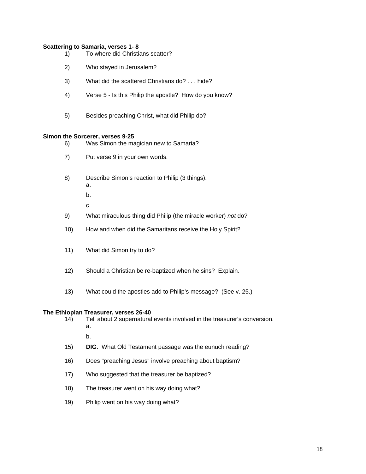#### **Scattering to Samaria, verses 1- 8**

- 1) To where did Christians scatter?
- 2) Who stayed in Jerusalem?
- 3) What did the scattered Christians do? . . . hide?
- 4) Verse 5 Is this Philip the apostle? How do you know?
- 5) Besides preaching Christ, what did Philip do?

#### **Simon the Sorcerer, verses 9-25**

- 6) Was Simon the magician new to Samaria?
- 7) Put verse 9 in your own words.
- 8) Describe Simon's reaction to Philip (3 things). a.
	- b.
- c. **C.** 
	- 9) What miraculous thing did Philip (the miracle worker) *not* do?
	- 10) How and when did the Samaritans receive the Holy Spirit?
	- 11) What did Simon try to do?
	- 12) Should a Christian be re-baptized when he sins? Explain.
	- 13) What could the apostles add to Philip's message? (See v. 25.)

#### **The Ethiopian Treasurer, verses 26-40**

- 14) Tell about 2 supernatural events involved in the treasurer's conversion. a. b.
	- 15) **DIG**: What Old Testament passage was the eunuch reading?
	- 16) Does "preaching Jesus" involve preaching about baptism?
	- 17) Who suggested that the treasurer be baptized?
	- 18) The treasurer went on his way doing what?
	- 19) Philip went on his way doing what?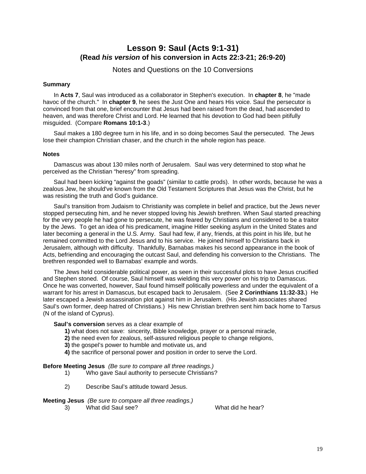### **Lesson 9: Saul (Acts 9:1-31) (Read** *his version* **of his conversion in Acts 22:3-21; 26:9-20)**

Notes and Questions on the 10 Conversions

#### **Summary**

 In **Acts 7**, Saul was introduced as a collaborator in Stephen's execution. In **chapter 8**, he "made havoc of the church." In **chapter 9**, he sees the Just One and hears His voice. Saul the persecutor is convinced from that one, brief encounter that Jesus had been raised from the dead, had ascended to heaven, and was therefore Christ and Lord. He learned that his devotion to God had been pitifully misguided. (Compare **Romans 10:1-3**.)

Saul makes a 180 degree turn in his life, and in so doing becomes Saul the persecuted. The Jews lose their champion Christian chaser, and the church in the whole region has peace.

#### **Notes**

Damascus was about 130 miles north of Jerusalem. Saul was very determined to stop what he perceived as the Christian "heresy" from spreading.

Saul had been kicking "against the goads" (similar to cattle prods). In other words, because he was a zealous Jew, he should've known from the Old Testament Scriptures that Jesus was the Christ, but he was resisting the truth and God's guidance.

Saul's transition from Judaism to Christianity was complete in belief and practice, but the Jews never stopped persecuting him, and he never stopped loving his Jewish brethren. When Saul started preaching for the very people he had gone to persecute, he was feared by Christians and considered to be a traitor by the Jews. To get an idea of his predicament, imagine Hitler seeking asylum in the United States and later becoming a general in the U.S. Army. Saul had few, if any, friends, at this point in his life, but he remained committed to the Lord Jesus and to his service. He joined himself to Christians back in Jerusalem, although with difficulty. Thankfully, Barnabas makes his second appearance in the book of Acts, befriending and encouraging the outcast Saul, and defending his conversion to the Christians. The brethren responded well to Barnabas' example and words.

The Jews held considerable political power, as seen in their successful plots to have Jesus crucified and Stephen stoned. Of course, Saul himself was wielding this very power on his trip to Damascus. Once he was converted, however, Saul found himself politically powerless and under the equivalent of a warrant for his arrest in Damascus, but escaped back to Jerusalem. (See **2 Corinthians 11:32-33.**) He later escaped a Jewish assassination plot against him in Jerusalem. (His Jewish associates shared Saul's own former, deep hatred of Christians.) His new Christian brethren sent him back home to Tarsus (N of the island of Cyprus).

**Saul's conversion** serves as a clear example of

- **1)** what does not save: sincerity, Bible knowledge, prayer or a personal miracle,
- **2)** the need even for zealous, self-assured religious people to change religions,
- **3)** the gospel's power to humble and motivate us, and
- **4)** the sacrifice of personal power and position in order to serve the Lord.

**Before Meeting Jesus** *(Be sure to compare all three readings.)*

- 1) Who gave Saul authority to persecute Christians?
- 2) Describe Saul's attitude toward Jesus.

#### **Meeting Jesus** *(Be sure to compare all three readings.)*

3) What did Saul see? What did he hear?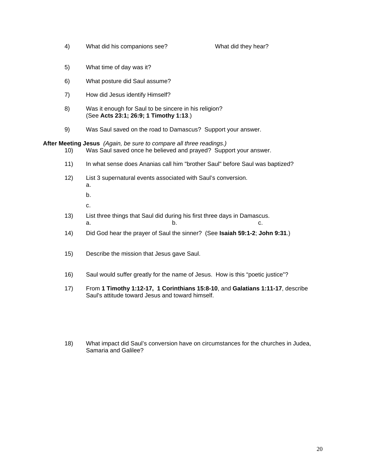4) What did his companions see? What did they hear?

- 5) What time of day was it?
- 6) What posture did Saul assume?
- 7) How did Jesus identify Himself?
- 8) Was it enough for Saul to be sincere in his religion? (See **Acts 23:1; 26:9; 1 Timothy 1:13**.)
- 9) Was Saul saved on the road to Damascus? Support your answer.

**After Meeting Jesus** *(Again, be sure to compare all three readings.)*

- 10) Was Saul saved once he believed and prayed? Support your answer.
- 11) In what sense does Ananias call him "brother Saul" before Saul was baptized?
- 12) List 3 supernatural events associated with Saul's conversion. a.

b.

c. **C.** 

- 13) List three things that Saul did during his first three days in Damascus. a. b. c.
	- 14) Did God hear the prayer of Saul the sinner? (See **Isaiah 59:1-2**; **John 9:31**.)
	- 15) Describe the mission that Jesus gave Saul.
	- 16) Saul would suffer greatly for the name of Jesus. How is this "poetic justice"?
	- 17) From **1 Timothy 1:12-17, 1 Corinthians 15:8-10**, and **Galatians 1:11-17**, describe Saul's attitude toward Jesus and toward himself.
	- 18) What impact did Saul's conversion have on circumstances for the churches in Judea, Samaria and Galilee?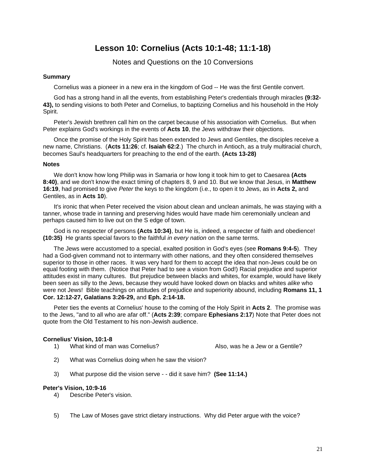# **Lesson 10: Cornelius (Acts 10:1-48; 11:1-18)**

Notes and Questions on the 10 Conversions

#### **Summary**

Cornelius was a pioneer in a new era in the kingdom of God -- He was the first Gentile convert.

God has a strong hand in all the events, from establishing Peter's credentials through miracles **(9:32- 43),** to sending visions to both Peter and Cornelius, to baptizing Cornelius and his household in the Holy Spirit.

Peter's Jewish brethren call him on the carpet because of his association with Cornelius. But when Peter explains God's workings in the events of **Acts 10**, the Jews withdraw their objections.

Once the promise of the Holy Spirit has been extended to Jews and Gentiles, the disciples receive a new name, Christians. (**Acts 11:26**; cf. **Isaiah 62:2**.) The church in Antioch, as a truly multiracial church, becomes Saul's headquarters for preaching to the end of the earth. **(Acts 13-28)** 

#### **Notes**

We don't know how long Philip was in Samaria or how long it took him to get to Caesarea **(Acts 8:40)**, and we don't know the exact timing of chapters 8, 9 and 10. But we know that Jesus, in **Matthew 16:19**, had promised to give *Peter* the keys to the kingdom (i.e., to open it to Jews, as in **Acts 2,** and Gentiles, as in **Acts 10**).

It's ironic that when Peter received the vision about clean and unclean animals, he was staying with a tanner, whose trade in tanning and preserving hides would have made him ceremonially unclean and perhaps caused him to live out on the S edge of town.

God is no respecter of persons **(Acts 10:34)**, but He is, indeed, a respecter of faith and obedience! **(10:35)** He grants special favors to the faithful *in every nation* on the same terms.

The Jews were accustomed to a special, exalted position in God's eyes (see **Romans 9:4-5**). They had a God-given command not to intermarry with other nations, and they often considered themselves superior to those in other races. It was very hard for them to accept the idea that non-Jews could be on equal footing with them. (Notice that Peter had to see a vision from God!) Racial prejudice and superior attitudes exist in many cultures. But prejudice between blacks and whites, for example, would have likely been seen as silly to the Jews, because they would have looked down on blacks and whites *alike* who were not Jews! Bible teachings on attitudes of prejudice and superiority abound, including **Romans 11, 1 Cor. 12:12-27, Galatians 3:26-29,** and **Eph. 2:14-18.**

Peter ties the events at Cornelius' house to the coming of the Holy Spirit in **Acts 2**. The promise was to the Jews, "and to all who are afar off." (**Acts 2:39**; compare **Ephesians 2:17**) Note that Peter does not quote from the Old Testament to his non-Jewish audience.

#### **Cornelius' Vision, 10:1-8**

1) What kind of man was Cornelius? Also, was he a Jew or a Gentile?

- 2) What was Cornelius doing when he saw the vision?
- 3) What purpose did the vision serve - did it save him? **(See 11:14.)**

#### **Peter's Vision, 10:9-16**

- 4) Describe Peter's vision.
- 5) The Law of Moses gave strict dietary instructions. Why did Peter argue with the voice?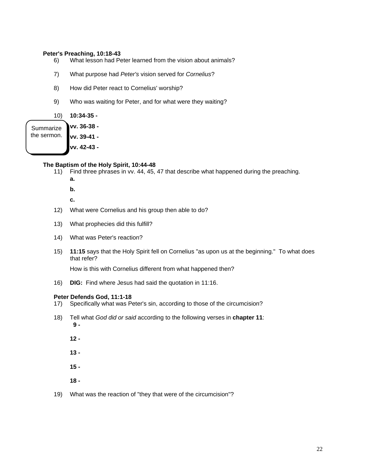#### **Peter's Preaching, 10:18-43**

- 6) What lesson had Peter learned from the vision about animals?
- 7) What purpose had *Peter's* vision served for *Cornelius*?
- 8) How did Peter react to Cornelius' worship?
- 9) Who was waiting for Peter, and for what were they waiting?

10) **10:34-35 -** 

**vv. 36-38 vv. 39-41 vv. 42-43 - Summarize** the sermon.

#### **The Baptism of the Holy Spirit, 10:44-48**

- 11) Find three phrases in vv. 44, 45, 47 that describe what happened during the preaching. **a.** 
	- **b.**

**c.** 

- 12) What were Cornelius and his group then able to do?
- 13) What prophecies did this fulfill?
- 14) What was Peter's reaction?
- 15) **11:15** says that the Holy Spirit fell on Cornelius "as upon us at the beginning." To what does that refer?

How is this with Cornelius different from what happened then?

16) **DIG:** Find where Jesus had said the quotation in 11:16.

#### **Peter Defends God, 11:1-18**

- 17) Specifically what was Peter's sin, according to those of the circumcision?
- 18) Tell what *God did or said* according to the following verses in **chapter 11**:  **9 -** 
	- **12**
	- **13**
	- **15**
	- **18**
- 19) What was the reaction of "they that were of the circumcision"?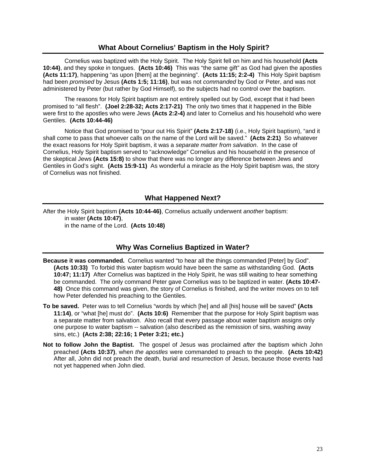#### **What About Cornelius' Baptism in the Holy Spirit?**

Cornelius was baptized with the Holy Spirit. The Holy Spirit fell on him and his household **(Acts 10:44)**, and they spoke in tongues. **(Acts 10:46)** This was "the same gift" as God had given the apostles **(Acts 11:17)**, happening "as upon [them] at the beginning". **(Acts 11:15; 2:2-4)** This Holy Spirit baptism had been *promised* by Jesus **(Acts 1:5; 11:16)**, but was not *commanded* by God or Peter, and was not administered by Peter (but rather by God Himself), so the subjects had no control over the baptism.

The reasons for Holy Spirit baptism are not entirely spelled out by God, except that it had been promised to "all flesh". **(Joel 2:28-32; Acts 2:17-21)** The only two times that it happened in the Bible were first to the apostles who were Jews **(Acts 2:2-4)** and later to Cornelius and his household who were Gentiles. **(Acts 10:44-46)**

Notice that God promised to "pour out His Spirit" **(Acts 2:17-18)** (i.e., Holy Spirit baptism), "and it shall come to pass that whoever calls on the name of the Lord will be saved." **(Acts 2:21)** So whatever the exact reasons for Holy Spirit baptism, it was a *separate matter from salvation*. In the case of Cornelius, Holy Spirit baptism served to "acknowledge" Cornelius and his household in the presence of the skeptical Jews **(Acts 15:8)** to show that there was no longer any difference between Jews and Gentiles in God's sight. **(Acts 15:9-11)** As wonderful a miracle as the Holy Spirit baptism was, the story of Cornelius was not finished.

#### **What Happened Next?**

After the Holy Spirit baptism **(Acts 10:44-46)**, Cornelius actually underwent *another* baptism: in water **(Acts 10:47)**, in the name of the Lord. **(Acts 10:48)** 

#### **Why Was Cornelius Baptized in Water?**

- **Because it was commanded.** Cornelius wanted "to hear all the things commanded [Peter] by God". **(Acts 10:33)** To forbid this water baptism would have been the same as withstanding God. **(Acts 10:47; 11:17)** After Cornelius was baptized in the Holy Spirit, he was still waiting to hear something be commanded. The only command Peter gave Cornelius was to be baptized in water. **(Acts 10:47- 48)** Once this command was given, the story of Cornelius is finished, and the writer moves on to tell how Peter defended his preaching to the Gentiles.
- **To be saved.** Peter was to tell Cornelius "words by which [he] and all [his] house will be saved" **(Acts 11:14)**, or "what [he] must do". **(Acts 10:6)** Remember that the purpose for Holy Spirit baptism was a separate matter from salvation. Also recall that every passage about water baptism assigns only one purpose to water baptism -- salvation (also described as the remission of sins, washing away sins, etc.) **(Acts 2:38; 22:16; 1 Peter 3:21; etc.)**
- **Not to follow John the Baptist.** The gospel of Jesus was proclaimed *after* the baptism which John preached **(Acts 10:37)**, when *the apostles* were commanded to preach to the people. **(Acts 10:42)**  After all, John did not preach the death, burial and resurrection of Jesus, because those events had not yet happened when John died.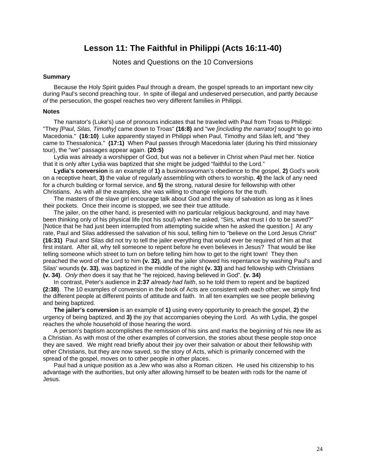### **Lesson 11: The Faithful in Philippi (Acts 16:11-40)**

#### Notes and Questions on the 10 Conversions

#### **Summary**

Because the Holy Spirit guides Paul through a dream, the gospel spreads to an important new city during Paul's second preaching tour. In spite of illegal and undeserved persecution, and partly *because of* the persecution, the gospel reaches two very different families in Philippi.

#### **Notes**

The narrator's (Luke's) use of pronouns indicates that he traveled with Paul from Troas to Philippi: "They *[Paul, Silas, Timothy]* came down to Troas" **(16:8)** and "we *[including the narrator]* sought to go into Macedonia." **(16:10)** Luke apparently stayed in Philippi when Paul, Timothy and Silas left, and "they came to Thessalonica." **(17:1)** When Paul passes through Macedonia later (during his third missionary tour), the "we" passages appear again. **(20:5)**

Lydia was already a worshipper of God, but was not a believer in Christ when Paul met her. Notice that it is only after Lydia was baptized that she might be judged "faithful to the Lord."

**Lydia's conversion** is an example of **1)** a businesswoman's obedience to the gospel, **2)** God's work on a receptive heart, **3)** the value of regularly assembling with others to worship, **4)** the lack of any need for a church building or formal service, and **5)** the strong, natural desire for fellowship with other Christians. As with all the examples, she was willing to change religions for the truth.

The masters of the slave girl encourage talk about God and the way of salvation as long as it lines their pockets. Once their income is stopped, we see their true attitude.

The jailer, on the other hand, is presented with no particular religious background, and may have been thinking only of his physical life (not his soul) when he asked, "Sirs, what must I do to be saved?" [Notice that he had just been interrupted from attempting suicide when he asked the question.] At any rate, Paul and Silas addressed the salvation of his soul, telling him to "believe on the Lord Jesus Christ" **(16:31)** Paul and Silas did not try to tell the jailer everything that would ever be required of him at that first instant. After all, why tell someone to repent before he even believes in Jesus? That would be like telling someone which street to turn on before telling him how to get to the right town! They then preached the word of the Lord to him **(v. 32)**, and the jailer showed his repentance by washing Paul's and Silas' wounds **(v. 33)**, was baptized in the middle of the night **(v. 33)** and had fellowship with Christians **(v. 34)**. *Only then* does it say that he "he rejoiced, having believed in God". **(v. 34)**

In contrast, Peter's audience in **2:37** *already had faith*, so he told them to repent and be baptized **(2:38)**. The 10 examples of conversion in the book of Acts are consistent with each other; we simply find the different people at different points of attitude and faith. In all ten examples we see people believing and being baptized.

**The jailer's conversion** is an example of **1)** using every opportunity to preach the gospel, **2)** the urgency of being baptized, and **3)** the joy that accompanies obeying the Lord. As with Lydia, the gospel reaches the whole household of those hearing the word.

A person's baptism accomplishes the remission of his sins and marks the beginning of his new life as a Christian. As with most of the other examples of conversion, the stories about these people stop once they are saved. We might read briefly about their joy over their salvation or about their fellowship with other Christians, but they are now saved, so the story of Acts, which is primarily concerned with the spread of the gospel, moves on to other people in other places.

Paul had a unique position as a Jew who was also a Roman citizen. He used his citizenship to his advantage with the authorities, but only after allowing himself to be beaten with rods for the name of Jesus.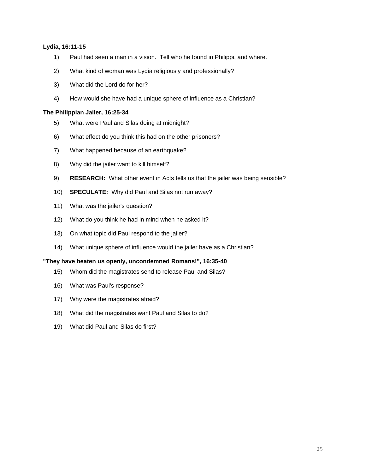#### **Lydia, 16:11-15**

- 1) Paul had seen a man in a vision. Tell who he found in Philippi, and where.
- 2) What kind of woman was Lydia religiously and professionally?
- 3) What did the Lord do for her?
- 4) How would she have had a unique sphere of influence as a Christian?

#### **The Philippian Jailer, 16:25-34**

- 5) What were Paul and Silas doing at midnight?
- 6) What effect do you think this had on the other prisoners?
- 7) What happened because of an earthquake?
- 8) Why did the jailer want to kill himself?
- 9) **RESEARCH:** What other event in Acts tells us that the jailer was being sensible?
- 10) **SPECULATE:** Why did Paul and Silas not run away?
- 11) What was the jailer's question?
- 12) What do you think he had in mind when he asked it?
- 13) On what topic did Paul respond to the jailer?
- 14) What unique sphere of influence would the jailer have as a Christian?

#### **"They have beaten us openly, uncondemned Romans!", 16:35-40**

- 15) Whom did the magistrates send to release Paul and Silas?
- 16) What was Paul's response?
- 17) Why were the magistrates afraid?
- 18) What did the magistrates want Paul and Silas to do?
- 19) What did Paul and Silas do first?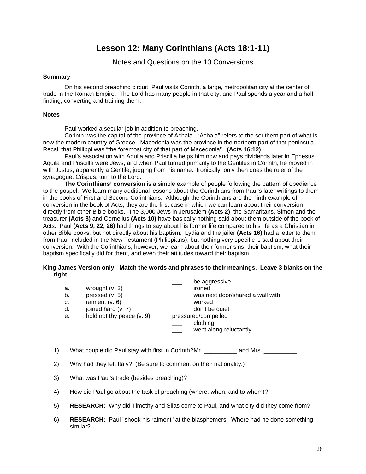# **Lesson 12: Many Corinthians (Acts 18:1-11)**

Notes and Questions on the 10 Conversions

#### **Summary**

On his second preaching circuit, Paul visits Corinth, a large, metropolitan city at the center of trade in the Roman Empire. The Lord has many people in that city, and Paul spends a year and a half finding, converting and training them.

#### **Notes**

Paul worked a secular job in addition to preaching.

Corinth was the capital of the province of Achaia. "Achaia" refers to the southern part of what is now the modern country of Greece. Macedonia was the province in the northern part of that peninsula. Recall that Philippi was "the foremost city of that part of Macedonia". **(Acts 16:12)** 

Paul's association with Aquila and Priscilla helps him now and pays dividends later in Ephesus. Aquila and Priscilla were Jews, and when Paul turned primarily to the Gentiles in Corinth, he moved in with Justus, apparently a Gentile, judging from his name. Ironically, only then does the ruler of the synagogue, Crispus, turn to the Lord.

**The Corinthians' conversion** is a simple example of people following the pattern of obedience to the gospel. We learn many additional lessons about the Corinthians from Paul's later writings to them in the books of First and Second Corinthians. Although the Corinthians are the ninth example of conversion in the book of Acts, they are the first case in which we can learn about their conversion directly from other Bible books. The 3,000 Jews in Jerusalem **(Acts 2)**, the Samaritans, Simon and the treasurer **(Acts 8)** and Cornelius **(Acts 10)** have basically nothing said about them outside of the book of Acts. Paul **(Acts 9, 22, 26)** had things to say about his former life compared to his life as a Christian in other Bible books, but not directly about his baptism. Lydia and the jailer **(Acts 16)** had a letter to them from Paul included in the New Testament (Philippians), but nothing very specific is said about their conversion. With the Corinthians, however, we learn about their former sins, their baptism, what their baptism specifically did for them, and even their attitudes toward their baptism.

#### **King James Version only: Match the words and phrases to their meanings. Leave 3 blanks on the right.**

|    |                             |                     | be aggressive                    |
|----|-----------------------------|---------------------|----------------------------------|
| а. | wrought $(v. 3)$            |                     | ironed                           |
| b. | pressed (v. 5)              |                     | was next door/shared a wall with |
| c. | raiment $(v. 6)$            |                     | worked                           |
| d. | joined hard (v. 7)          |                     | don't be quiet                   |
| е. | hold not thy peace $(v. 9)$ | pressured/compelled |                                  |
|    |                             |                     | clothing                         |
|    |                             |                     | went along reluctantly           |
|    |                             |                     |                                  |
|    |                             |                     |                                  |

1) What couple did Paul stay with first in Corinth? Mr. \_\_\_\_\_\_\_\_\_\_\_\_\_\_\_\_\_\_\_\_\_\_\_\_

- 2) Why had they left Italy? (Be sure to comment on their nationality.)
- 3) What was Paul's trade (besides preaching)?
- 4) How did Paul go about the task of preaching (where, when, and to whom)?
- 5) **RESEARCH:** Why did Timothy and Silas come to Paul, and what city did they come from?
- 6) **RESEARCH:** Paul "shook his raiment" at the blasphemers. Where had he done something similar?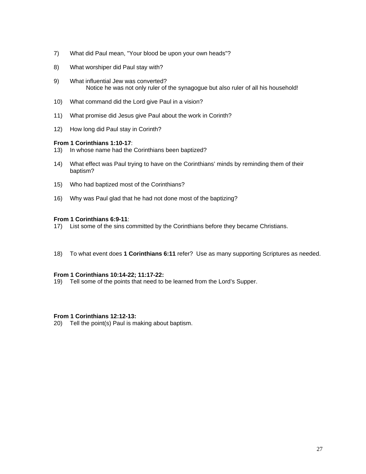- 7) What did Paul mean, "Your blood be upon your own heads"?
- 8) What worshiper did Paul stay with?
- 9) What influential Jew was converted? Notice he was not only ruler of the synagogue but also ruler of all his household!
- 10) What command did the Lord give Paul in a vision?
- 11) What promise did Jesus give Paul about the work in Corinth?
- 12) How long did Paul stay in Corinth?

#### **From 1 Corinthians 1:10-17**:

- 13) In whose name had the Corinthians been baptized?
- 14) What effect was Paul trying to have on the Corinthians' minds by reminding them of their baptism?
- 15) Who had baptized most of the Corinthians?
- 16) Why was Paul glad that he had not done most of the baptizing?

#### **From 1 Corinthians 6:9-11**:

- 17) List some of the sins committed by the Corinthians before they became Christians.
- 18) To what event does **1 Corinthians 6:11** refer? Use as many supporting Scriptures as needed.

#### **From 1 Corinthians 10:14-22; 11:17-22:**

19) Tell some of the points that need to be learned from the Lord's Supper.

#### **From 1 Corinthians 12:12-13:**

20) Tell the point(s) Paul is making about baptism.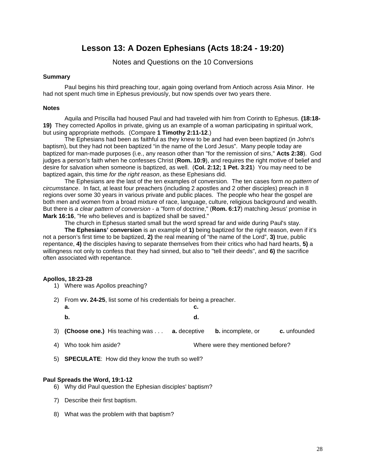# **Lesson 13: A Dozen Ephesians (Acts 18:24 - 19:20)**

Notes and Questions on the 10 Conversions

#### **Summary**

Paul begins his third preaching tour, again going overland from Antioch across Asia Minor. He had not spent much time in Ephesus previously, but now spends over two years there.

#### **Notes**

Aquila and Priscilla had housed Paul and had traveled with him from Corinth to Ephesus. **(18:18- 19)** They corrected Apollos in private, giving us an example of a woman participating in spiritual work, but using appropriate methods. (Compare **1 Timothy 2:11-12**.)

The Ephesians had been as faithful as they knew to be and had even been baptized (in John's baptism), but they had not been baptized "in the name of the Lord Jesus". Many people today are baptized for man-made purposes (i.e., any reason other than "for the remission of sins," **Acts 2:38**). God judges a person's faith when he confesses Christ (**Rom. 10:9**), and requires the right motive of belief and desire for salvation when someone is baptized, as well. (**Col. 2:12; 1 Pet. 3:21**) You may need to be baptized again, this time *for the right reason*, as these Ephesians did.

The Ephesians are the last of the ten examples of conversion. The ten cases form *no pattern of circumstance*. In fact, at least four preachers (including 2 apostles and 2 other disciples) preach in 8 regions over some 30 years in various private and public places. The people who hear the gospel are both men and women from a broad mixture of race, language, culture, religious background and wealth. But there is *a clear pattern of conversion* - a "form of doctrine," (**Rom. 6:17**) matching Jesus' promise in **Mark 16:16**, "He who believes and is baptized shall be saved."

The church in Ephesus started small but the word spread far and wide during Paul's stay.

**The Ephesians' conversion** is an example of **1)** being baptized for the right reason, even if it's not a person's first time to be baptized, **2)** the real meaning of "the name of the Lord", **3)** true, public repentance, **4)** the disciples having to separate themselves from their critics who had hard hearts, **5)** a willingness not only to confess that they had sinned, but also to "tell their deeds", and **6)** the sacrifice often associated with repentance.

#### **Apollos, 18:23-28**

- 1) Where was Apollos preaching?
- 2) From **vv. 24-25**, list some of his credentials for being a preacher.
	- **a. c. b. d.**
- 3) **(Choose one.)** His teaching was . . . **a.** deceptive **b.** incomplete, or **c.** unfounded
- 4) Who took him aside? Where were they mentioned before?
- 5) **SPECULATE**: How did they know the truth so well?

#### **Paul Spreads the Word, 19:1-12**

- 6) Why did Paul question the Ephesian disciples' baptism?
- 7) Describe their first baptism.
- 8) What was the problem with that baptism?